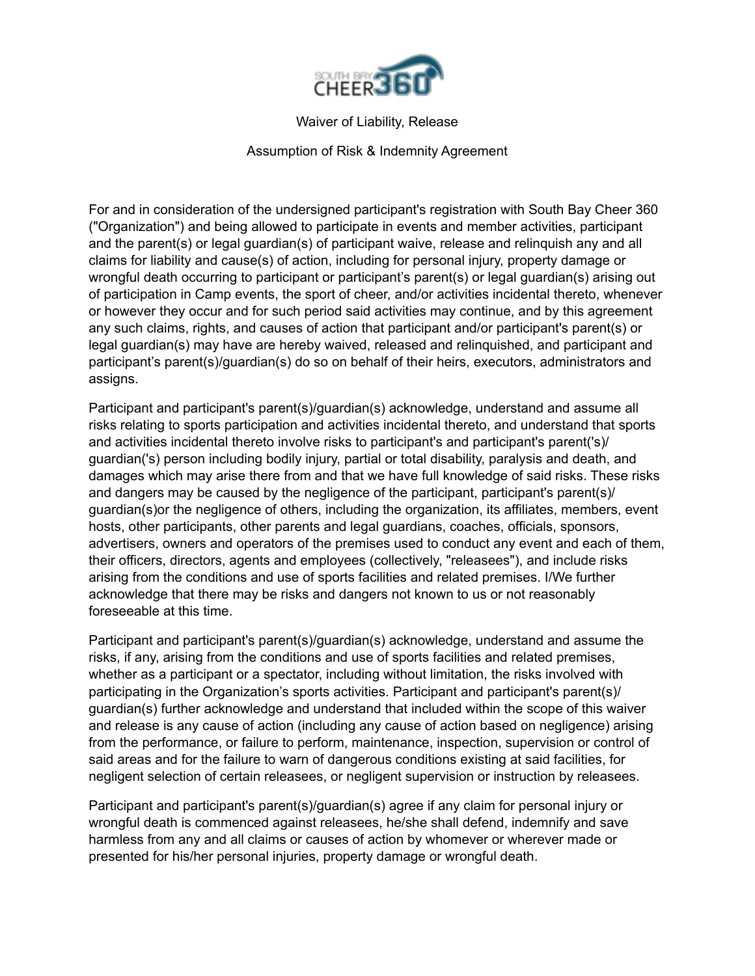

Waiver of Liability, Release

Assumption of Risk & Indemnity Agreement

For and in consideration of the undersigned participant's registration with South Bay Cheer 360 ("Organization") and being allowed to participate in events and member activities, participant and the parent(s) or legal guardian(s) of participant waive, release and relinquish any and all claims for liability and cause(s) of action, including for personal injury, property damage or wrongful death occurring to participant or participant's parent(s) or legal guardian(s) arising out of participation in Camp events, the sport of cheer, and/or activities incidental thereto, whenever or however they occur and for such period said activities may continue, and by this agreement any such claims, rights, and causes of action that participant and/or participant's parent(s) or legal guardian(s) may have are hereby waived, released and relinquished, and participant and participant's parent(s)/guardian(s) do so on behalf of their heirs, executors, administrators and assigns.

Participant and participant's parent(s)/guardian(s) acknowledge, understand and assume all risks relating to sports participation and activities incidental thereto, and understand that sports and activities incidental thereto involve risks to participant's and participant's parent('s)/ guardian('s) person including bodily injury, partial or total disability, paralysis and death, and damages which may arise there from and that we have full knowledge of said risks. These risks and dangers may be caused by the negligence of the participant, participant's parent(s)/ guardian(s)or the negligence of others, including the organization, its affiliates, members, event hosts, other participants, other parents and legal guardians, coaches, officials, sponsors, advertisers, owners and operators of the premises used to conduct any event and each of them, their officers, directors, agents and employees (collectively, "releasees"), and include risks arising from the conditions and use of sports facilities and related premises. I/We further acknowledge that there may be risks and dangers not known to us or not reasonably foreseeable at this time.

Participant and participant's parent(s)/guardian(s) acknowledge, understand and assume the risks, if any, arising from the conditions and use of sports facilities and related premises, whether as a participant or a spectator, including without limitation, the risks involved with participating in the Organization's sports activities. Participant and participant's parent(s)/ guardian(s) further acknowledge and understand that included within the scope of this waiver and release is any cause of action (including any cause of action based on negligence) arising from the performance, or failure to perform, maintenance, inspection, supervision or control of said areas and for the failure to warn of dangerous conditions existing at said facilities, for negligent selection of certain releasees, or negligent supervision or instruction by releasees.

Participant and participant's parent(s)/guardian(s) agree if any claim for personal injury or wrongful death is commenced against releasees, he/she shall defend, indemnify and save harmless from any and all claims or causes of action by whomever or wherever made or presented for his/her personal injuries, property damage or wrongful death.